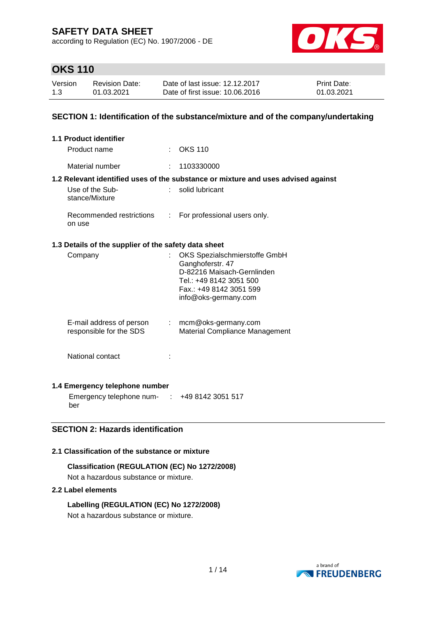according to Regulation (EC) No. 1907/2006 - DE



## **OKS 110**

| Version | <b>Revision Date:</b> | Date of last issue: 12.12.2017  | <b>Print Date:</b> |
|---------|-----------------------|---------------------------------|--------------------|
| 1.3     | 01.03.2021            | Date of first issue: 10.06.2016 | 01.03.2021         |

### **SECTION 1: Identification of the substance/mixture and of the company/undertaking**

| <b>1.1 Product identifier</b>                        |                           |                                                                                                                                                               |
|------------------------------------------------------|---------------------------|---------------------------------------------------------------------------------------------------------------------------------------------------------------|
| Product name                                         |                           | $\therefore$ OKS 110                                                                                                                                          |
| Material number                                      |                           | 1103330000                                                                                                                                                    |
|                                                      |                           | 1.2 Relevant identified uses of the substance or mixture and uses advised against                                                                             |
| Use of the Sub-<br>stance/Mixture                    |                           | solid lubricant                                                                                                                                               |
| Recommended restrictions<br>on use                   | t.                        | For professional users only.                                                                                                                                  |
| 1.3 Details of the supplier of the safety data sheet |                           |                                                                                                                                                               |
| Company                                              |                           | OKS Spezialschmierstoffe GmbH<br>Ganghoferstr. 47<br>D-82216 Maisach-Gernlinden<br>Tel.: +49 8142 3051 500<br>Fax.: +49 8142 3051 599<br>info@oks-germany.com |
| E-mail address of person<br>responsible for the SDS  | $\mathbb{Z}^{\mathbb{Z}}$ | mcm@oks-germany.com<br>Material Compliance Management                                                                                                         |
| National contact                                     |                           |                                                                                                                                                               |

### **1.4 Emergency telephone number**

Emergency telephone num-: +49 8142 3051 517 ber

## **SECTION 2: Hazards identification**

#### **2.1 Classification of the substance or mixture**

**Classification (REGULATION (EC) No 1272/2008)** Not a hazardous substance or mixture.

#### **2.2 Label elements**

**Labelling (REGULATION (EC) No 1272/2008)** Not a hazardous substance or mixture.

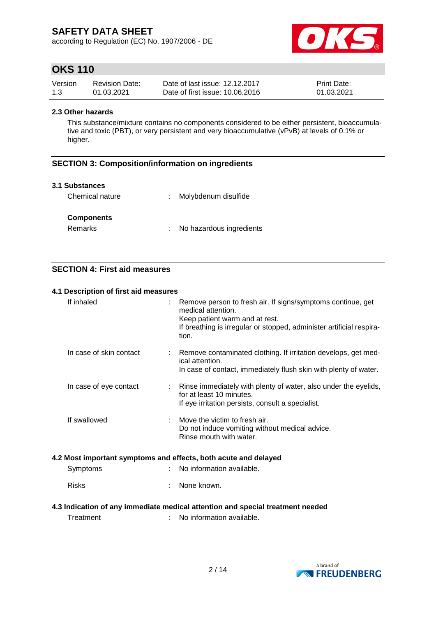according to Regulation (EC) No. 1907/2006 - DE



## **OKS 110**

| Version | <b>Revision Date:</b> | Date of last issue: 12.12.2017  | <b>Print Date:</b> |
|---------|-----------------------|---------------------------------|--------------------|
| 1.3     | 01.03.2021            | Date of first issue: 10.06.2016 | 01.03.2021         |

#### **2.3 Other hazards**

This substance/mixture contains no components considered to be either persistent, bioaccumulative and toxic (PBT), or very persistent and very bioaccumulative (vPvB) at levels of 0.1% or higher.

### **SECTION 3: Composition/information on ingredients**

#### **3.1 Substances**

| Chemical nature   | Molybdenum disulfide     |  |
|-------------------|--------------------------|--|
| <b>Components</b> |                          |  |
| Remarks           | No hazardous ingredients |  |

## **SECTION 4: First aid measures**

#### **4.1 Description of first aid measures**

| If inhaled                                                                     |  | Remove person to fresh air. If signs/symptoms continue, get<br>medical attention.<br>Keep patient warm and at rest.<br>If breathing is irregular or stopped, administer artificial respira-<br>tion. |  |  |  |
|--------------------------------------------------------------------------------|--|------------------------------------------------------------------------------------------------------------------------------------------------------------------------------------------------------|--|--|--|
| In case of skin contact                                                        |  | Remove contaminated clothing. If irritation develops, get med-<br>ical attention.<br>In case of contact, immediately flush skin with plenty of water.                                                |  |  |  |
| In case of eye contact                                                         |  | Rinse immediately with plenty of water, also under the eyelids,<br>for at least 10 minutes.<br>If eye irritation persists, consult a specialist.                                                     |  |  |  |
| If swallowed                                                                   |  | Move the victim to fresh air.<br>Do not induce vomiting without medical advice.<br>Rinse mouth with water.                                                                                           |  |  |  |
| 4.2 Most important symptoms and effects, both acute and delayed                |  |                                                                                                                                                                                                      |  |  |  |
| Symptoms                                                                       |  | No information available.                                                                                                                                                                            |  |  |  |
| <b>Risks</b>                                                                   |  | None known.                                                                                                                                                                                          |  |  |  |
| 4.3 Indication of any immediate medical attention and special treatment needed |  |                                                                                                                                                                                                      |  |  |  |

Treatment : No information available.

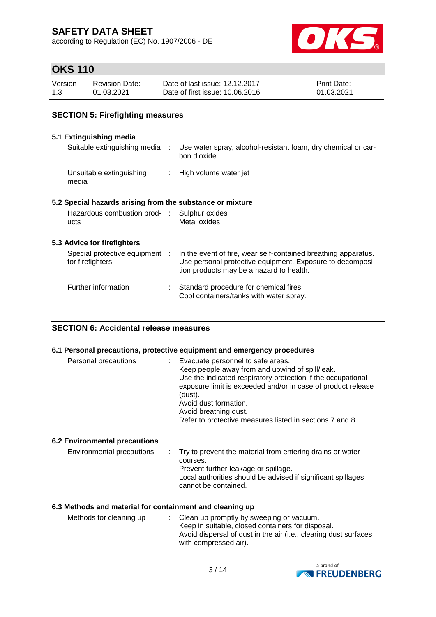according to Regulation (EC) No. 1907/2006 - DE



# **OKS 110**

| Version | <b>Revision Date:</b> | Date of last issue: 12.12.2017  | <b>Print Date:</b> |
|---------|-----------------------|---------------------------------|--------------------|
| 1.3     | 01.03.2021            | Date of first issue: 10.06.2016 | 01.03.2021         |

## **SECTION 5: Firefighting measures**

### **5.1 Extinguishing media**

| Suitable extinguishing media :                            | Use water spray, alcohol-resistant foam, dry chemical or car-<br>bon dioxide.                                                                                           |
|-----------------------------------------------------------|-------------------------------------------------------------------------------------------------------------------------------------------------------------------------|
| Unsuitable extinguishing<br>media                         | : High volume water jet                                                                                                                                                 |
| 5.2 Special hazards arising from the substance or mixture |                                                                                                                                                                         |
| Hazardous combustion prod- : Sulphur oxides<br>ucts       | Metal oxides                                                                                                                                                            |
| 5.3 Advice for firefighters                               |                                                                                                                                                                         |
| Special protective equipment :<br>for firefighters        | In the event of fire, wear self-contained breathing apparatus.<br>Use personal protective equipment. Exposure to decomposi-<br>tion products may be a hazard to health. |
| Further information                                       | Standard procedure for chemical fires.<br>Cool containers/tanks with water spray.                                                                                       |

#### **SECTION 6: Accidental release measures**

#### **6.1 Personal precautions, protective equipment and emergency procedures**

| Personal precautions                 | : Evacuate personnel to safe areas.<br>Keep people away from and upwind of spill/leak.<br>Use the indicated respiratory protection if the occupational<br>exposure limit is exceeded and/or in case of product release<br>(dust).<br>Avoid dust formation.<br>Avoid breathing dust.<br>Refer to protective measures listed in sections 7 and 8. |
|--------------------------------------|-------------------------------------------------------------------------------------------------------------------------------------------------------------------------------------------------------------------------------------------------------------------------------------------------------------------------------------------------|
| <b>6.2 Environmental precautions</b> |                                                                                                                                                                                                                                                                                                                                                 |
| Environmental precautions            | : Try to prevent the material from entering drains or water<br>courses.<br>Prevent further leakage or spillage.<br>Local authorities should be advised if significant spillages<br>cannot be contained.                                                                                                                                         |

#### **6.3 Methods and material for containment and cleaning up**

| Methods for cleaning up | : Clean up promptly by sweeping or vacuum.                       |
|-------------------------|------------------------------------------------------------------|
|                         | Keep in suitable, closed containers for disposal.                |
|                         | Avoid dispersal of dust in the air (i.e., clearing dust surfaces |
|                         | with compressed air).                                            |

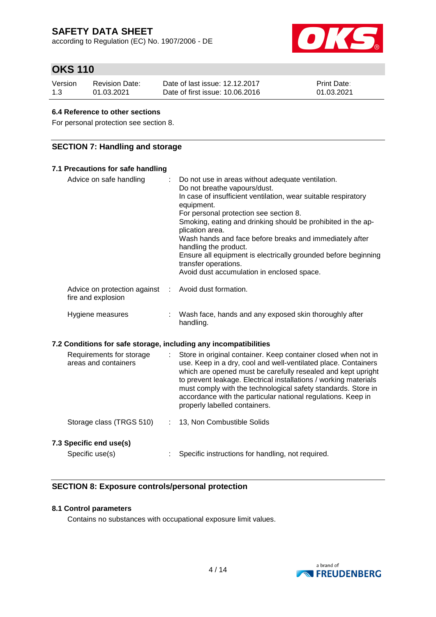according to Regulation (EC) No. 1907/2006 - DE



# **OKS 110**

| Version | <b>Revision Date:</b> | Date of last issue: 12.12.2017  | <b>Print Date:</b> |
|---------|-----------------------|---------------------------------|--------------------|
| 1.3     | 01.03.2021            | Date of first issue: 10.06.2016 | 01.03.2021         |

#### **6.4 Reference to other sections**

For personal protection see section 8.

### **SECTION 7: Handling and storage**

| 7.1 Precautions for safe handling                                |                                                                                                                                                                                                                                                                                                                                                                                                                                                                                                                            |
|------------------------------------------------------------------|----------------------------------------------------------------------------------------------------------------------------------------------------------------------------------------------------------------------------------------------------------------------------------------------------------------------------------------------------------------------------------------------------------------------------------------------------------------------------------------------------------------------------|
| Advice on safe handling                                          | Do not use in areas without adequate ventilation.<br>Do not breathe vapours/dust.<br>In case of insufficient ventilation, wear suitable respiratory<br>equipment.<br>For personal protection see section 8.<br>Smoking, eating and drinking should be prohibited in the ap-<br>plication area.<br>Wash hands and face before breaks and immediately after<br>handling the product.<br>Ensure all equipment is electrically grounded before beginning<br>transfer operations.<br>Avoid dust accumulation in enclosed space. |
| Advice on protection against<br>÷.<br>fire and explosion         | Avoid dust formation.                                                                                                                                                                                                                                                                                                                                                                                                                                                                                                      |
| Hygiene measures                                                 | Wash face, hands and any exposed skin thoroughly after<br>handling.                                                                                                                                                                                                                                                                                                                                                                                                                                                        |
| 7.2 Conditions for safe storage, including any incompatibilities |                                                                                                                                                                                                                                                                                                                                                                                                                                                                                                                            |
| Requirements for storage<br>areas and containers                 | Store in original container. Keep container closed when not in<br>use. Keep in a dry, cool and well-ventilated place. Containers<br>which are opened must be carefully resealed and kept upright<br>to prevent leakage. Electrical installations / working materials<br>must comply with the technological safety standards. Store in<br>accordance with the particular national regulations. Keep in<br>properly labelled containers.                                                                                     |
| Storage class (TRGS 510)<br>÷                                    | 13, Non Combustible Solids                                                                                                                                                                                                                                                                                                                                                                                                                                                                                                 |
| 7.3 Specific end use(s)                                          |                                                                                                                                                                                                                                                                                                                                                                                                                                                                                                                            |
| Specific use(s)                                                  | Specific instructions for handling, not required.                                                                                                                                                                                                                                                                                                                                                                                                                                                                          |

### **SECTION 8: Exposure controls/personal protection**

### **8.1 Control parameters**

Contains no substances with occupational exposure limit values.

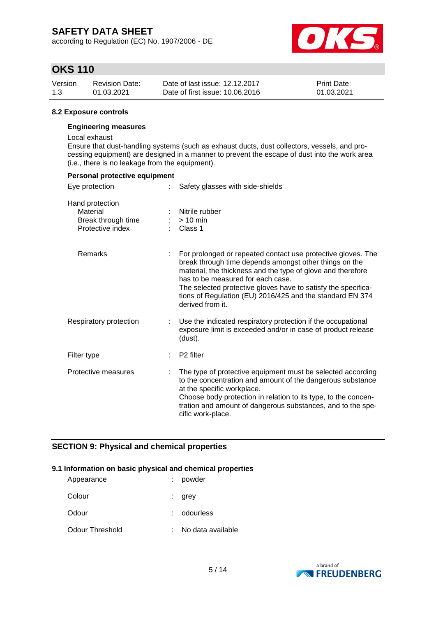according to Regulation (EC) No. 1907/2006 - DE



## **OKS 110**

| Version | <b>Revision Date:</b> | Date of last issue: 12.12.2017  | <b>Print Date:</b> |
|---------|-----------------------|---------------------------------|--------------------|
| 1.3     | 01.03.2021            | Date of first issue: 10.06.2016 | 01.03.2021         |

#### **8.2 Exposure controls**

#### **Engineering measures**

Local exhaust

Ensure that dust-handling systems (such as exhaust ducts, dust collectors, vessels, and processing equipment) are designed in a manner to prevent the escape of dust into the work area (i.e., there is no leakage from the equipment).

| Personal protective equipment                                         |                                                                                                                                                                                                                                                                                                                                                                              |
|-----------------------------------------------------------------------|------------------------------------------------------------------------------------------------------------------------------------------------------------------------------------------------------------------------------------------------------------------------------------------------------------------------------------------------------------------------------|
| Eye protection                                                        | Safety glasses with side-shields                                                                                                                                                                                                                                                                                                                                             |
| Hand protection<br>Material<br>Break through time<br>Protective index | Nitrile rubber<br>$>10$ min<br>Class 1                                                                                                                                                                                                                                                                                                                                       |
| <b>Remarks</b>                                                        | For prolonged or repeated contact use protective gloves. The<br>break through time depends amongst other things on the<br>material, the thickness and the type of glove and therefore<br>has to be measured for each case.<br>The selected protective gloves have to satisfy the specifica-<br>tions of Regulation (EU) 2016/425 and the standard EN 374<br>derived from it. |
| Respiratory protection                                                | Use the indicated respiratory protection if the occupational<br>exposure limit is exceeded and/or in case of product release<br>(dust).                                                                                                                                                                                                                                      |
| Filter type                                                           | P <sub>2</sub> filter                                                                                                                                                                                                                                                                                                                                                        |
| Protective measures                                                   | The type of protective equipment must be selected according<br>to the concentration and amount of the dangerous substance<br>at the specific workplace.<br>Choose body protection in relation to its type, to the concen-<br>tration and amount of dangerous substances, and to the spe-<br>cific work-place.                                                                |

### **SECTION 9: Physical and chemical properties**

#### **9.1 Information on basic physical and chemical properties**

| Appearance      | powder            |
|-----------------|-------------------|
| Colour          | grey              |
| Odour           | odourless         |
| Odour Threshold | No data available |

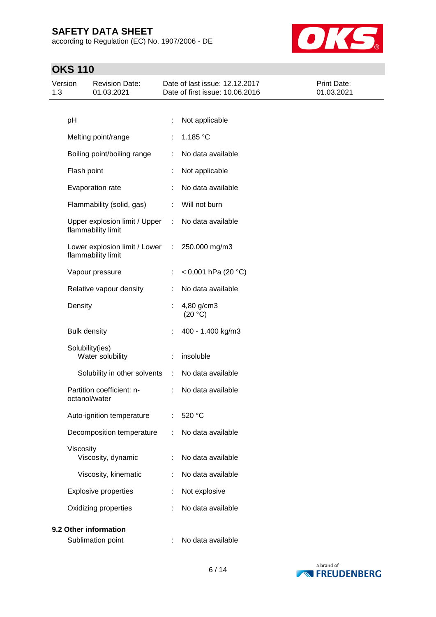according to Regulation (EC) No. 1907/2006 - DE



# **OKS 110**

| Version<br>1.3 |                     | <b>Revision Date:</b><br>01.03.2021                 |                             | Date of last issue: 12.12.2017<br>Date of first issue: 10.06.2016 | Print Date:<br>01.03.2021 |
|----------------|---------------------|-----------------------------------------------------|-----------------------------|-------------------------------------------------------------------|---------------------------|
|                |                     |                                                     |                             |                                                                   |                           |
|                | pH                  |                                                     | t                           | Not applicable                                                    |                           |
|                |                     | Melting point/range                                 |                             | 1.185 °C                                                          |                           |
|                |                     | Boiling point/boiling range                         | ÷                           | No data available                                                 |                           |
|                | Flash point         |                                                     | ÷.                          | Not applicable                                                    |                           |
|                |                     | Evaporation rate                                    |                             | No data available                                                 |                           |
|                |                     | Flammability (solid, gas)                           | ÷                           | Will not burn                                                     |                           |
|                |                     | Upper explosion limit / Upper<br>flammability limit | ÷                           | No data available                                                 |                           |
|                |                     | Lower explosion limit / Lower<br>flammability limit | $\ddot{\phantom{a}}$        | 250.000 mg/m3                                                     |                           |
|                |                     | Vapour pressure                                     | ÷                           | < 0,001 hPa (20 °C)                                               |                           |
|                |                     | Relative vapour density                             | ÷                           | No data available                                                 |                           |
|                | Density             |                                                     |                             | 4,80 g/cm3<br>(20 °C)                                             |                           |
|                | <b>Bulk density</b> |                                                     |                             | 400 - 1.400 kg/m3                                                 |                           |
|                | Solubility(ies)     | Water solubility                                    |                             | insoluble                                                         |                           |
|                |                     | Solubility in other solvents                        | $\mathcal{I}^{\mathcal{I}}$ | No data available                                                 |                           |
|                |                     | Partition coefficient: n-<br>octanol/water          | ÷                           | No data available                                                 |                           |
|                |                     | Auto-ignition temperature                           |                             | 520 °C                                                            |                           |
|                |                     | Decomposition temperature                           |                             | No data available                                                 |                           |
|                | Viscosity           | Viscosity, dynamic                                  |                             | No data available                                                 |                           |
|                |                     | Viscosity, kinematic                                | ÷                           | No data available                                                 |                           |
|                |                     | <b>Explosive properties</b>                         | ÷                           | Not explosive                                                     |                           |
|                |                     | Oxidizing properties                                |                             | No data available                                                 |                           |
|                |                     | 9.2 Other information                               |                             |                                                                   |                           |



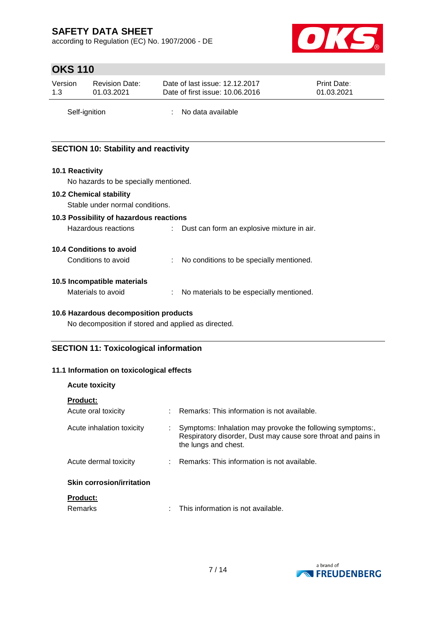according to Regulation (EC) No. 1907/2006 - DE



## **OKS 110**

| Version | <b>Revision Date:</b> | Date of last issue: 12.12.2017  | <b>Print Date:</b> |
|---------|-----------------------|---------------------------------|--------------------|
| 1.3     | 01.03.2021            | Date of first issue: 10.06.2016 | 01.03.2021         |
|         |                       |                                 |                    |

Self-ignition : No data available

## **SECTION 10: Stability and reactivity**

#### **10.1 Reactivity**

No hazards to be specially mentioned.

#### **10.2 Chemical stability**

Stable under normal conditions.

#### **10.3 Possibility of hazardous reactions**

Hazardous reactions : Dust can form an explosive mixture in air.

### **10.4 Conditions to avoid**

| Conditions to avoid |  | No conditions to be specially mentioned. |
|---------------------|--|------------------------------------------|
|---------------------|--|------------------------------------------|

#### **10.5 Incompatible materials**

Materials to avoid : No materials to be especially mentioned.

### **10.6 Hazardous decomposition products**

No decomposition if stored and applied as directed.

### **SECTION 11: Toxicological information**

### **11.1 Information on toxicological effects**

| <b>Acute toxicity</b>            |                                                                                                                                                    |
|----------------------------------|----------------------------------------------------------------------------------------------------------------------------------------------------|
| <b>Product:</b>                  |                                                                                                                                                    |
| Acute oral toxicity              | Remarks: This information is not available.                                                                                                        |
| Acute inhalation toxicity        | Symptoms: Inhalation may provoke the following symptoms:,<br>Respiratory disorder, Dust may cause sore throat and pains in<br>the lungs and chest. |
| Acute dermal toxicity            | : Remarks: This information is not available.                                                                                                      |
| <b>Skin corrosion/irritation</b> |                                                                                                                                                    |
| <b>Product:</b><br>Remarks       | This information is not available.                                                                                                                 |

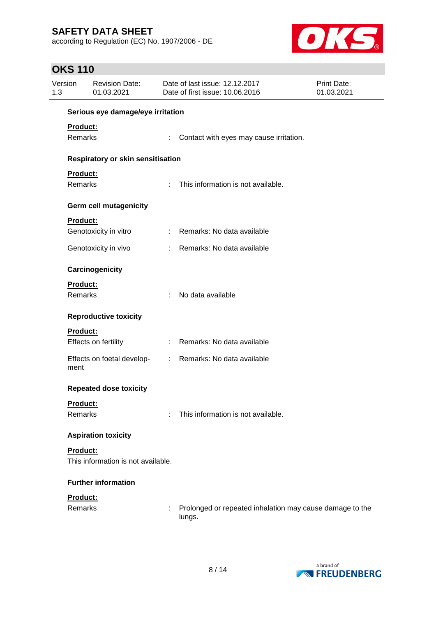according to Regulation (EC) No. 1907/2006 - DE



# **OKS 110**

| Version<br>1.3 |                | <b>Revision Date:</b><br>01.03.2021 |    | Date of last issue: 12.12.2017<br>Date of first issue: 10.06.2016  | Print Date:<br>01.03.2021 |
|----------------|----------------|-------------------------------------|----|--------------------------------------------------------------------|---------------------------|
|                |                | Serious eye damage/eye irritation   |    |                                                                    |                           |
|                | Product:       |                                     |    |                                                                    |                           |
|                | Remarks        |                                     | ÷  | Contact with eyes may cause irritation.                            |                           |
|                |                | Respiratory or skin sensitisation   |    |                                                                    |                           |
|                | Product:       |                                     |    |                                                                    |                           |
|                | Remarks        |                                     | ÷  | This information is not available.                                 |                           |
|                |                | <b>Germ cell mutagenicity</b>       |    |                                                                    |                           |
|                | Product:       |                                     |    |                                                                    |                           |
|                |                | Genotoxicity in vitro               |    | : Remarks: No data available                                       |                           |
|                |                | Genotoxicity in vivo                | ÷. | Remarks: No data available                                         |                           |
|                |                | Carcinogenicity                     |    |                                                                    |                           |
|                | Product:       |                                     |    |                                                                    |                           |
|                | <b>Remarks</b> |                                     | ÷  | No data available                                                  |                           |
|                |                | <b>Reproductive toxicity</b>        |    |                                                                    |                           |
|                | Product:       |                                     |    |                                                                    |                           |
|                |                | Effects on fertility                |    | : Remarks: No data available                                       |                           |
|                | ment           | Effects on foetal develop-          |    | : Remarks: No data available                                       |                           |
|                |                | <b>Repeated dose toxicity</b>       |    |                                                                    |                           |
|                | Product:       |                                     |    |                                                                    |                           |
|                | Remarks        |                                     | ٠  | This information is not available.                                 |                           |
|                |                | <b>Aspiration toxicity</b>          |    |                                                                    |                           |
|                | Product:       |                                     |    |                                                                    |                           |
|                |                | This information is not available.  |    |                                                                    |                           |
|                |                | <b>Further information</b>          |    |                                                                    |                           |
|                | Product:       |                                     |    |                                                                    |                           |
|                | Remarks        |                                     |    | Prolonged or repeated inhalation may cause damage to the<br>lungs. |                           |

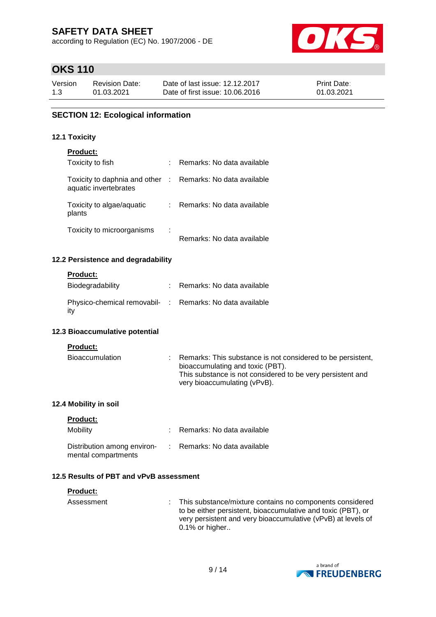according to Regulation (EC) No. 1907/2006 - DE



# **OKS 110**

| Version | <b>Revision Date:</b> | Date of last issue: 12.12.2017  | <b>Print Date:</b> |
|---------|-----------------------|---------------------------------|--------------------|
| 1.3     | 01.03.2021            | Date of first issue: 10.06.2016 | 01.03.2021         |

### **SECTION 12: Ecological information**

#### **12.1 Toxicity**

| <b>Product:</b>                                                                     |   |                              |
|-------------------------------------------------------------------------------------|---|------------------------------|
| Toxicity to fish                                                                    |   | Remarks: No data available   |
| Toxicity to daphnia and other : Remarks: No data available<br>aquatic invertebrates |   |                              |
| Toxicity to algae/aquatic<br>plants                                                 |   | : Remarks: No data available |
| Toxicity to microorganisms                                                          | ÷ | Remarks: No data available   |

#### **12.2 Persistence and degradability**

#### **Product:**

| Biodegradability                                                 | Remarks: No data available |
|------------------------------------------------------------------|----------------------------|
| Physico-chemical removabil- : Remarks: No data available<br>-itv |                            |

#### **12.3 Bioaccumulative potential**

#### **Product:**

| Bioaccumulation |  | : Remarks: This substance is not considered to be persistent, |
|-----------------|--|---------------------------------------------------------------|
|                 |  | bioaccumulating and toxic (PBT).                              |
|                 |  | This substance is not considered to be very persistent and    |
|                 |  | very bioaccumulating (vPvB).                                  |

#### **12.4 Mobility in soil**

| <b>Product:</b> |  |
|-----------------|--|
|                 |  |

| Mobility                                           | Remarks: No data available   |
|----------------------------------------------------|------------------------------|
| Distribution among environ-<br>mental compartments | : Remarks: No data available |

## **12.5 Results of PBT and vPvB assessment**

| <b>Product:</b> |                                                                                                                                                                                                               |
|-----------------|---------------------------------------------------------------------------------------------------------------------------------------------------------------------------------------------------------------|
| Assessment      | This substance/mixture contains no components considered<br>to be either persistent, bioaccumulative and toxic (PBT), or<br>very persistent and very bioaccumulative (vPvB) at levels of<br>$0.1\%$ or higher |

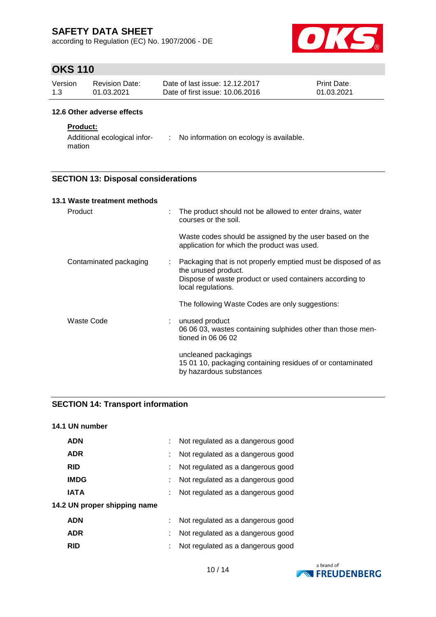according to Regulation (EC) No. 1907/2006 - DE



# **OKS 110**

| Version | Revision Date: | Date of last issue: 12.12.2017  | <b>Print Date:</b> |
|---------|----------------|---------------------------------|--------------------|
| 1.3     | 01.03.2021     | Date of first issue: 10.06.2016 | 01.03.2021         |

#### **12.6 Other adverse effects**

#### **Product:**

Additional ecological infor-: No information on ecology is available. mation

### **SECTION 13: Disposal considerations**

| 13.1 Waste treatment methods |    |                                                                                                                                                                        |
|------------------------------|----|------------------------------------------------------------------------------------------------------------------------------------------------------------------------|
| Product                      | t  | The product should not be allowed to enter drains, water<br>courses or the soil.                                                                                       |
|                              |    | Waste codes should be assigned by the user based on the<br>application for which the product was used.                                                                 |
| Contaminated packaging       | t. | Packaging that is not properly emptied must be disposed of as<br>the unused product.<br>Dispose of waste product or used containers according to<br>local regulations. |
|                              |    | The following Waste Codes are only suggestions:                                                                                                                        |
| Waste Code                   |    | unused product<br>06 06 03, wastes containing sulphides other than those men-<br>tioned in 06 06 02                                                                    |
|                              |    | uncleaned packagings<br>15 01 10, packaging containing residues of or contaminated<br>by hazardous substances                                                          |

### **SECTION 14: Transport information**

#### **14.1 UN number**

| <b>ADN</b>                   | Not regulated as a dangerous good |
|------------------------------|-----------------------------------|
| <b>ADR</b>                   | Not regulated as a dangerous good |
| <b>RID</b>                   | Not regulated as a dangerous good |
| <b>IMDG</b>                  | Not regulated as a dangerous good |
| <b>IATA</b>                  | Not regulated as a dangerous good |
| 14.2 UN proper shipping name |                                   |
| <b>ADN</b>                   | Not regulated as a dangerous good |
| <b>ADR</b>                   | Not regulated as a dangerous good |
|                              |                                   |

**RID** : Not regulated as a dangerous good

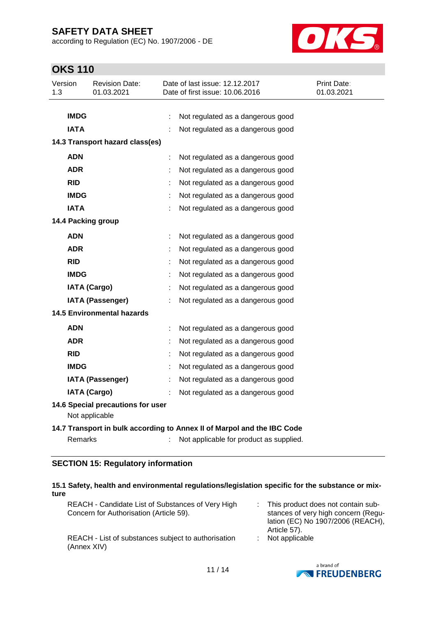according to Regulation (EC) No. 1907/2006 - DE



# **OKS 110**

| Version<br>1.3 |             | <b>Revision Date:</b><br>01.03.2021                 |   | Date of last issue: 12.12.2017<br>Date of first issue: 10.06.2016       | Print Date:<br>01.03.2021 |
|----------------|-------------|-----------------------------------------------------|---|-------------------------------------------------------------------------|---------------------------|
|                |             |                                                     |   |                                                                         |                           |
|                | <b>IMDG</b> |                                                     | ÷ | Not regulated as a dangerous good                                       |                           |
|                | <b>IATA</b> |                                                     |   | Not regulated as a dangerous good                                       |                           |
|                |             | 14.3 Transport hazard class(es)                     |   |                                                                         |                           |
|                | <b>ADN</b>  |                                                     | ÷ | Not regulated as a dangerous good                                       |                           |
|                | <b>ADR</b>  |                                                     |   | Not regulated as a dangerous good                                       |                           |
|                | <b>RID</b>  |                                                     |   | Not regulated as a dangerous good                                       |                           |
|                | <b>IMDG</b> |                                                     |   | Not regulated as a dangerous good                                       |                           |
|                | <b>IATA</b> |                                                     |   | Not regulated as a dangerous good                                       |                           |
|                |             | 14.4 Packing group                                  |   |                                                                         |                           |
|                | <b>ADN</b>  |                                                     | t | Not regulated as a dangerous good                                       |                           |
|                | <b>ADR</b>  |                                                     |   | Not regulated as a dangerous good                                       |                           |
|                | <b>RID</b>  |                                                     |   | Not regulated as a dangerous good                                       |                           |
|                | <b>IMDG</b> |                                                     |   | Not regulated as a dangerous good                                       |                           |
|                |             | <b>IATA (Cargo)</b>                                 |   | Not regulated as a dangerous good                                       |                           |
|                |             | <b>IATA (Passenger)</b>                             |   | Not regulated as a dangerous good                                       |                           |
|                |             | <b>14.5 Environmental hazards</b>                   |   |                                                                         |                           |
|                | <b>ADN</b>  |                                                     | ÷ | Not regulated as a dangerous good                                       |                           |
|                | <b>ADR</b>  |                                                     |   | Not regulated as a dangerous good                                       |                           |
|                | <b>RID</b>  |                                                     |   | Not regulated as a dangerous good                                       |                           |
|                | <b>IMDG</b> |                                                     |   | Not regulated as a dangerous good                                       |                           |
|                |             | <b>IATA (Passenger)</b>                             | ÷ | Not regulated as a dangerous good                                       |                           |
|                |             | <b>IATA (Cargo)</b>                                 |   | Not regulated as a dangerous good                                       |                           |
|                |             | 14.6 Special precautions for user<br>Not applicable |   |                                                                         |                           |
|                |             |                                                     |   | 14.7 Transport in bulk according to Annex II of Marpol and the IBC Code |                           |
|                | Remarks     |                                                     |   | Not applicable for product as supplied.                                 |                           |

### **SECTION 15: Regulatory information**

#### **15.1 Safety, health and environmental regulations/legislation specific for the substance or mixture**

| REACH - Candidate List of Substances of Very High<br>Concern for Authorisation (Article 59). |    | : This product does not contain sub-<br>stances of very high concern (Regu-<br>lation (EC) No 1907/2006 (REACH),<br>Article 57). |
|----------------------------------------------------------------------------------------------|----|----------------------------------------------------------------------------------------------------------------------------------|
| REACH - List of substances subject to authorisation<br>(Annex XIV)                           | ÷. | Not applicable                                                                                                                   |

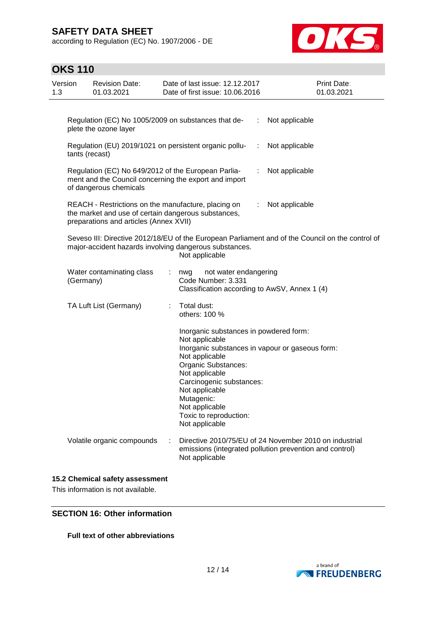according to Regulation (EC) No. 1907/2006 - DE



| <b>OKS 110</b> |  |
|----------------|--|
|----------------|--|

| Version<br>1.3 |           | <b>Revision Date:</b><br>01.03.2021                                                                                                                  |    | Date of last issue: 12.12.2017<br>Date of first issue: 10.06.2016                                                                                                                                                                             |                             | Print Date:<br>01.03.2021                                                                                         |
|----------------|-----------|------------------------------------------------------------------------------------------------------------------------------------------------------|----|-----------------------------------------------------------------------------------------------------------------------------------------------------------------------------------------------------------------------------------------------|-----------------------------|-------------------------------------------------------------------------------------------------------------------|
|                |           | Regulation (EC) No 1005/2009 on substances that de-<br>plete the ozone layer                                                                         |    |                                                                                                                                                                                                                                               | ÷                           | Not applicable                                                                                                    |
|                |           | tants (recast)                                                                                                                                       |    | Regulation (EU) 2019/1021 on persistent organic pollu-                                                                                                                                                                                        | $\mathcal{I}^{\mathcal{I}}$ | Not applicable                                                                                                    |
|                |           | Regulation (EC) No 649/2012 of the European Parlia-<br>of dangerous chemicals                                                                        |    | ment and the Council concerning the export and import                                                                                                                                                                                         | ÷                           | Not applicable                                                                                                    |
|                |           | REACH - Restrictions on the manufacture, placing on<br>the market and use of certain dangerous substances,<br>preparations and articles (Annex XVII) |    |                                                                                                                                                                                                                                               | ÷                           | Not applicable                                                                                                    |
|                |           |                                                                                                                                                      |    | major-accident hazards involving dangerous substances.<br>Not applicable                                                                                                                                                                      |                             | Seveso III: Directive 2012/18/EU of the European Parliament and of the Council on the control of                  |
|                | (Germany) | Water contaminating class                                                                                                                            | t. | not water endangering<br>nwg<br>Code Number: 3.331<br>Classification according to AwSV, Annex 1 (4)                                                                                                                                           |                             |                                                                                                                   |
|                |           | TA Luft List (Germany)                                                                                                                               |    | Total dust:<br>others: 100 %                                                                                                                                                                                                                  |                             |                                                                                                                   |
|                |           |                                                                                                                                                      |    | Inorganic substances in powdered form:<br>Not applicable<br>Not applicable<br>Organic Substances:<br>Not applicable<br>Carcinogenic substances:<br>Not applicable<br>Mutagenic:<br>Not applicable<br>Toxic to reproduction:<br>Not applicable |                             | Inorganic substances in vapour or gaseous form:                                                                   |
|                |           | Volatile organic compounds                                                                                                                           |    | Not applicable                                                                                                                                                                                                                                |                             | Directive 2010/75/EU of 24 November 2010 on industrial<br>emissions (integrated pollution prevention and control) |
|                |           | 15.2 Chemical safety assessment                                                                                                                      |    |                                                                                                                                                                                                                                               |                             |                                                                                                                   |

This information is not available.

## **SECTION 16: Other information**

### **Full text of other abbreviations**

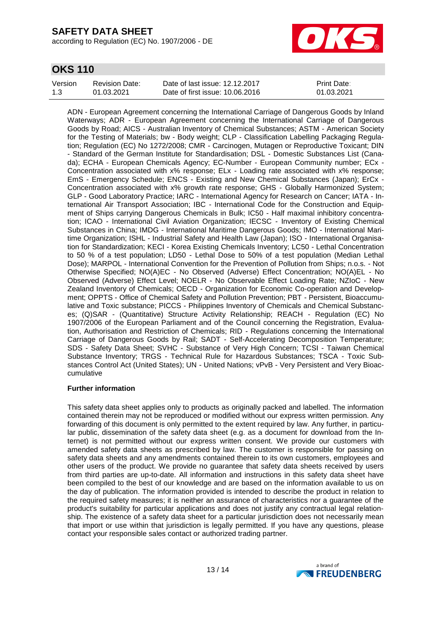according to Regulation (EC) No. 1907/2006 - DE



## **OKS 110**

| Version | Revision Date: | Date of last issue: 12.12.2017  | <b>Print Date:</b> |
|---------|----------------|---------------------------------|--------------------|
| 1.3     | 01.03.2021     | Date of first issue: 10.06.2016 | 01.03.2021         |

ADN - European Agreement concerning the International Carriage of Dangerous Goods by Inland Waterways; ADR - European Agreement concerning the International Carriage of Dangerous Goods by Road; AICS - Australian Inventory of Chemical Substances; ASTM - American Society for the Testing of Materials; bw - Body weight; CLP - Classification Labelling Packaging Regulation; Regulation (EC) No 1272/2008; CMR - Carcinogen, Mutagen or Reproductive Toxicant; DIN - Standard of the German Institute for Standardisation; DSL - Domestic Substances List (Canada); ECHA - European Chemicals Agency; EC-Number - European Community number; ECx - Concentration associated with x% response; ELx - Loading rate associated with x% response; EmS - Emergency Schedule; ENCS - Existing and New Chemical Substances (Japan); ErCx - Concentration associated with x% growth rate response; GHS - Globally Harmonized System; GLP - Good Laboratory Practice; IARC - International Agency for Research on Cancer; IATA - International Air Transport Association; IBC - International Code for the Construction and Equipment of Ships carrying Dangerous Chemicals in Bulk; IC50 - Half maximal inhibitory concentration; ICAO - International Civil Aviation Organization; IECSC - Inventory of Existing Chemical Substances in China; IMDG - International Maritime Dangerous Goods; IMO - International Maritime Organization; ISHL - Industrial Safety and Health Law (Japan); ISO - International Organisation for Standardization; KECI - Korea Existing Chemicals Inventory; LC50 - Lethal Concentration to 50 % of a test population; LD50 - Lethal Dose to 50% of a test population (Median Lethal Dose); MARPOL - International Convention for the Prevention of Pollution from Ships; n.o.s. - Not Otherwise Specified; NO(A)EC - No Observed (Adverse) Effect Concentration; NO(A)EL - No Observed (Adverse) Effect Level; NOELR - No Observable Effect Loading Rate; NZIoC - New Zealand Inventory of Chemicals; OECD - Organization for Economic Co-operation and Development; OPPTS - Office of Chemical Safety and Pollution Prevention; PBT - Persistent, Bioaccumulative and Toxic substance; PICCS - Philippines Inventory of Chemicals and Chemical Substances; (Q)SAR - (Quantitative) Structure Activity Relationship; REACH - Regulation (EC) No 1907/2006 of the European Parliament and of the Council concerning the Registration, Evaluation, Authorisation and Restriction of Chemicals; RID - Regulations concerning the International Carriage of Dangerous Goods by Rail; SADT - Self-Accelerating Decomposition Temperature; SDS - Safety Data Sheet; SVHC - Substance of Very High Concern; TCSI - Taiwan Chemical Substance Inventory; TRGS - Technical Rule for Hazardous Substances; TSCA - Toxic Substances Control Act (United States); UN - United Nations; vPvB - Very Persistent and Very Bioaccumulative

#### **Further information**

This safety data sheet applies only to products as originally packed and labelled. The information contained therein may not be reproduced or modified without our express written permission. Any forwarding of this document is only permitted to the extent required by law. Any further, in particular public, dissemination of the safety data sheet (e.g. as a document for download from the Internet) is not permitted without our express written consent. We provide our customers with amended safety data sheets as prescribed by law. The customer is responsible for passing on safety data sheets and any amendments contained therein to its own customers, employees and other users of the product. We provide no guarantee that safety data sheets received by users from third parties are up-to-date. All information and instructions in this safety data sheet have been compiled to the best of our knowledge and are based on the information available to us on the day of publication. The information provided is intended to describe the product in relation to the required safety measures; it is neither an assurance of characteristics nor a guarantee of the product's suitability for particular applications and does not justify any contractual legal relationship. The existence of a safety data sheet for a particular jurisdiction does not necessarily mean that import or use within that jurisdiction is legally permitted. If you have any questions, please contact your responsible sales contact or authorized trading partner.